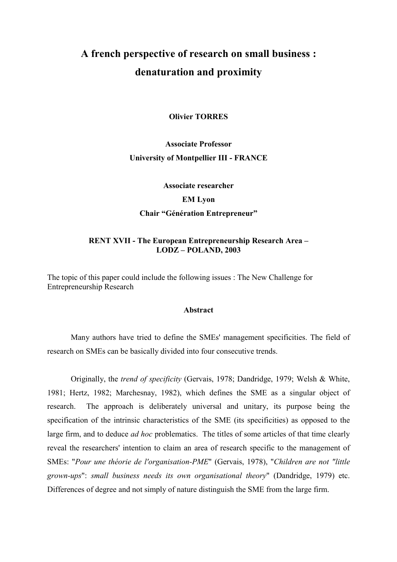# A french perspective of research on small business : denaturation and proximity

#### **Olivier TORRES**

# **Associate Professor University of Montpellier III - FRANCE**

Associate researcher **EM Lyon Chair "Génération Entrepreneur"** 

#### **RENT XVII - The European Entrepreneurship Research Area -** $LODZ - POLAND, 2003$

The topic of this paper could include the following issues : The New Challenge for **Entrepreneurship Research** 

### **Abstract**

Many authors have tried to define the SMEs' management specificities. The field of research on SMEs can be basically divided into four consecutive trends.

Originally, the *trend of specificity* (Gervais, 1978; Dandridge, 1979; Welsh & White, 1981; Hertz, 1982; Marchesnay, 1982), which defines the SME as a singular object of The approach is deliberately universal and unitary, its purpose being the research specification of the intrinsic characteristics of the SME (its specificities) as opposed to the large firm, and to deduce *ad hoc* problematics. The titles of some articles of that time clearly reveal the researchers' intention to claim an area of research specific to the management of SMEs: "Pour une théorie de l'organisation-PME" (Gervais, 1978), "Children are not "little grown-ups": small business needs its own organisational theory" (Dandridge, 1979) etc. Differences of degree and not simply of nature distinguish the SME from the large firm.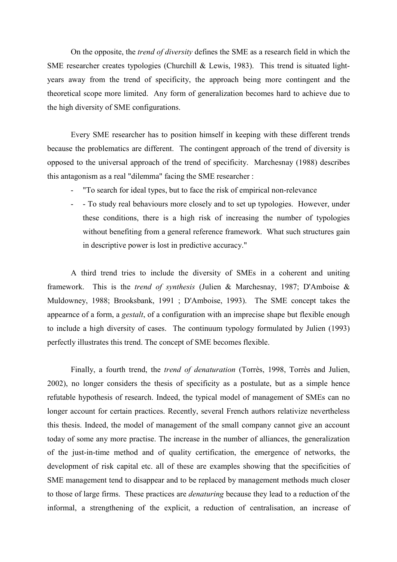On the opposite, the *trend of diversity* defines the SME as a research field in which the SME researcher creates typologies (Churchill & Lewis, 1983). This trend is situated lightyears away from the trend of specificity, the approach being more contingent and the theoretical scope more limited. Any form of generalization becomes hard to achieve due to the high diversity of SME configurations.

Every SME researcher has to position himself in keeping with these different trends because the problematics are different. The contingent approach of the trend of diversity is opposed to the universal approach of the trend of specificity. Marchesnay (1988) describes this antagonism as a real "dilemma" facing the SME researcher :

- "To search for ideal types, but to face the risk of empirical non-relevance"
- To study real behaviours more closely and to set up typologies. However, under these conditions, there is a high risk of increasing the number of typologies without benefiting from a general reference framework. What such structures gain in descriptive power is lost in predictive accuracy."

A third trend tries to include the diversity of SMEs in a coherent and uniting framework. This is the trend of synthesis (Julien & Marchesnay, 1987; D'Amboise & Muldowney, 1988; Brooksbank, 1991; D'Amboise, 1993). The SME concept takes the appearnce of a form, a *gestalt*, of a configuration with an imprecise shape but flexible enough to include a high diversity of cases. The continuum typology formulated by Julien (1993) perfectly illustrates this trend. The concept of SME becomes flexible.

Finally, a fourth trend, the *trend of denaturation* (Torrès, 1998, Torrès and Julien, 2002), no longer considers the thesis of specificity as a postulate, but as a simple hence refutable hypothesis of research. Indeed, the typical model of management of SMEs can no longer account for certain practices. Recently, several French authors relativize nevertheless this thesis. Indeed, the model of management of the small company cannot give an account today of some any more practise. The increase in the number of alliances, the generalization of the just-in-time method and of quality certification, the emergence of networks, the development of risk capital etc. all of these are examples showing that the specificities of SME management tend to disappear and to be replaced by management methods much closer to those of large firms. These practices are *denaturing* because they lead to a reduction of the informal, a strengthening of the explicit, a reduction of centralisation, an increase of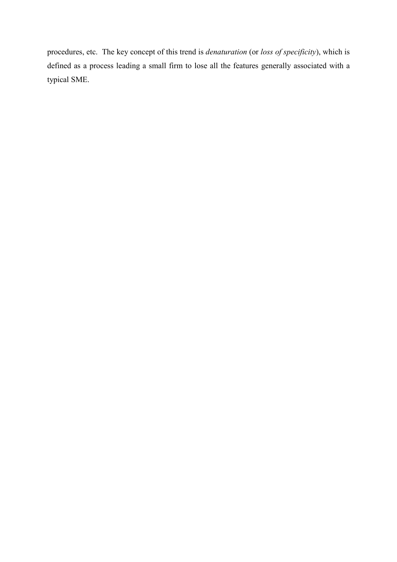procedures, etc. The key concept of this trend is *denaturation* (or loss of specificity), which is defined as a process leading a small firm to lose all the features generally associated with a typical SME.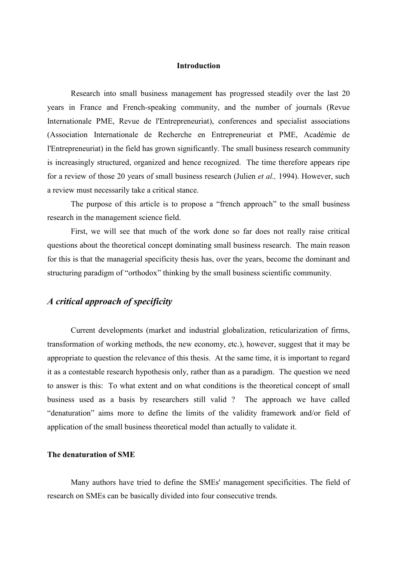#### **Introduction**

Research into small business management has progressed steadily over the last 20 years in France and French-speaking community, and the number of journals (Revue Internationale PME, Revue de l'Entrepreneuriat), conferences and specialist associations (Association Internationale de Recherche en Entrepreneuriat et PME, Académie de l'Entrepreneuriat) in the field has grown significantly. The small business research community is increasingly structured, organized and hence recognized. The time therefore appears ripe for a review of those 20 years of small business research (Julien *et al.*, 1994). However, such a review must necessarily take a critical stance.

The purpose of this article is to propose a "french approach" to the small business research in the management science field.

First, we will see that much of the work done so far does not really raise critical questions about the theoretical concept dominating small business research. The main reason for this is that the managerial specificity thesis has, over the years, become the dominant and structuring paradigm of "orthodox" thinking by the small business scientific community.

# A critical approach of specificity

Current developments (market and industrial globalization, reticularization of firms, transformation of working methods, the new economy, etc.), however, suggest that it may be appropriate to question the relevance of this thesis. At the same time, it is important to regard it as a contestable research hypothesis only, rather than as a paradigm. The question we need to answer is this: To what extent and on what conditions is the theoretical concept of small business used as a basis by researchers still valid? The approach we have called "denaturation" aims more to define the limits of the validity framework and/or field of application of the small business theoretical model than actually to validate it.

#### The denaturation of SME

Many authors have tried to define the SMEs' management specificities. The field of research on SMEs can be basically divided into four consecutive trends.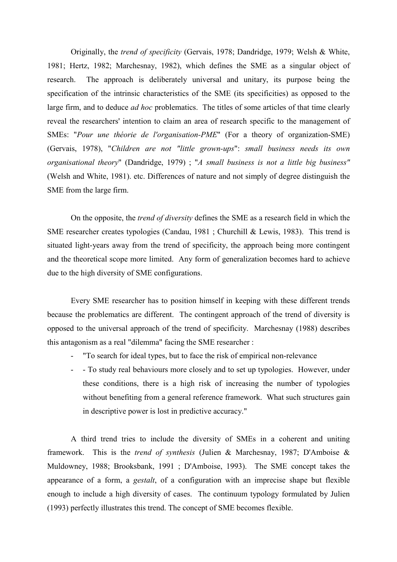Originally, the *trend of specificity* (Gervais, 1978; Dandridge, 1979; Welsh & White, 1981; Hertz, 1982; Marchesnay, 1982), which defines the SME as a singular object of The approach is deliberately universal and unitary, its purpose being the research. specification of the intrinsic characteristics of the SME (its specificities) as opposed to the large firm, and to deduce *ad hoc* problematics. The titles of some articles of that time clearly reveal the researchers' intention to claim an area of research specific to the management of SMEs: "Pour une théorie de l'organisation-PME" (For a theory of organization-SME) (Gervais, 1978), "Children are not "little grown-ups": small business needs its own organisational theory" (Dandridge, 1979); "A small business is not a little big business" (Welsh and White, 1981). etc. Differences of nature and not simply of degree distinguish the SME from the large firm.

On the opposite, the *trend of diversity* defines the SME as a research field in which the SME researcher creates typologies (Candau, 1981; Churchill & Lewis, 1983). This trend is situated light-years away from the trend of specificity, the approach being more contingent and the theoretical scope more limited. Any form of generalization becomes hard to achieve due to the high diversity of SME configurations.

Every SME researcher has to position himself in keeping with these different trends because the problematics are different. The contingent approach of the trend of diversity is opposed to the universal approach of the trend of specificity. Marchesnay (1988) describes this antagonism as a real "dilemma" facing the SME researcher :

- "To search for ideal types, but to face the risk of empirical non-relevance"
- To study real behaviours more closely and to set up typologies. However, under these conditions, there is a high risk of increasing the number of typologies without benefiting from a general reference framework. What such structures gain in descriptive power is lost in predictive accuracy."

A third trend tries to include the diversity of SMEs in a coherent and uniting framework. This is the trend of synthesis (Julien & Marchesnay, 1987; D'Amboise & Muldowney, 1988; Brooksbank, 1991; D'Amboise, 1993). The SME concept takes the appearance of a form, a *gestalt*, of a configuration with an imprecise shape but flexible enough to include a high diversity of cases. The continuum typology formulated by Julien (1993) perfectly illustrates this trend. The concept of SME becomes flexible.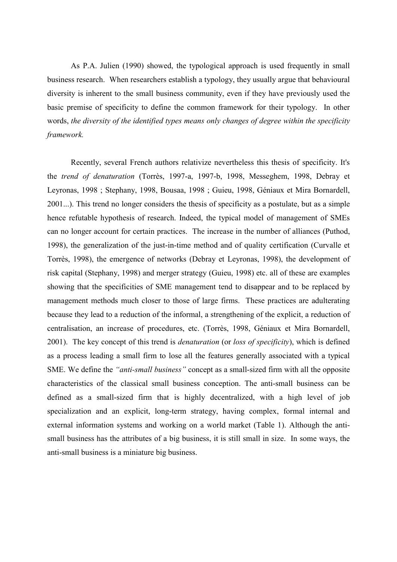As P.A. Julien (1990) showed, the typological approach is used frequently in small business research. When researchers establish a typology, they usually argue that behavioural diversity is inherent to the small business community, even if they have previously used the basic premise of specificity to define the common framework for their typology. In other words, the diversity of the identified types means only changes of degree within the specificity framework.

Recently, several French authors relativize nevertheless this thesis of specificity. It's the trend of denaturation (Torrès, 1997-a, 1997-b, 1998, Messeghem, 1998, Debray et Leyronas, 1998; Stephany, 1998, Bousaa, 1998; Guieu, 1998, Géniaux et Mira Bornardell, 2001...). This trend no longer considers the thesis of specificity as a postulate, but as a simple hence refutable hypothesis of research. Indeed, the typical model of management of SMEs can no longer account for certain practices. The increase in the number of alliances (Puthod, 1998), the generalization of the just-in-time method and of quality certification (Curvalle et Torrès, 1998), the emergence of networks (Debray et Leyronas, 1998), the development of risk capital (Stephany, 1998) and merger strategy (Guieu, 1998) etc. all of these are examples showing that the specificities of SME management tend to disappear and to be replaced by management methods much closer to those of large firms. These practices are adulterating because they lead to a reduction of the informal, a strengthening of the explicit, a reduction of centralisation, an increase of procedures, etc. (Torrès, 1998, Géniaux et Mira Bornardell, 2001). The key concept of this trend is *denaturation* (or loss of specificity), which is defined as a process leading a small firm to lose all the features generally associated with a typical SME. We define the "*anti-small business*" concept as a small-sized firm with all the opposite characteristics of the classical small business conception. The anti-small business can be defined as a small-sized firm that is highly decentralized, with a high level of job specialization and an explicit, long-term strategy, having complex, formal internal and external information systems and working on a world market (Table 1). Although the antismall business has the attributes of a big business, it is still small in size. In some ways, the anti-small business is a miniature big business.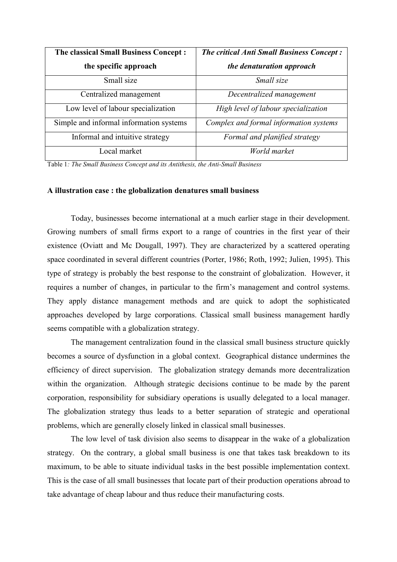| <b>The classical Small Business Concept:</b> | <b>The critical Anti Small Business Concept:</b> |
|----------------------------------------------|--------------------------------------------------|
| the specific approach                        | the denaturation approach                        |
| Small size                                   | Small size                                       |
| Centralized management                       | Decentralized management                         |
| Low level of labour specialization           | High level of labour specialization              |
| Simple and informal information systems      | Complex and formal information systems           |
| Informal and intuitive strategy              | Formal and planified strategy                    |
| Local market                                 | World market                                     |

Table 1: The Small Business Concept and its Antithesis, the Anti-Small Business

#### A illustration case: the globalization denatures small business

Today, businesses become international at a much earlier stage in their development. Growing numbers of small firms export to a range of countries in the first year of their existence (Oviatt and Mc Dougall, 1997). They are characterized by a scattered operating space coordinated in several different countries (Porter, 1986; Roth, 1992; Julien, 1995). This type of strategy is probably the best response to the constraint of globalization. However, it requires a number of changes, in particular to the firm's management and control systems. They apply distance management methods and are quick to adopt the sophisticated approaches developed by large corporations. Classical small business management hardly seems compatible with a globalization strategy.

The management centralization found in the classical small business structure quickly becomes a source of dysfunction in a global context. Geographical distance undermines the efficiency of direct supervision. The globalization strategy demands more decentralization within the organization. Although strategic decisions continue to be made by the parent corporation, responsibility for subsidiary operations is usually delegated to a local manager. The globalization strategy thus leads to a better separation of strategic and operational problems, which are generally closely linked in classical small businesses.

The low level of task division also seems to disappear in the wake of a globalization strategy. On the contrary, a global small business is one that takes task breakdown to its maximum, to be able to situate individual tasks in the best possible implementation context. This is the case of all small businesses that locate part of their production operations abroad to take advantage of cheap labour and thus reduce their manufacturing costs.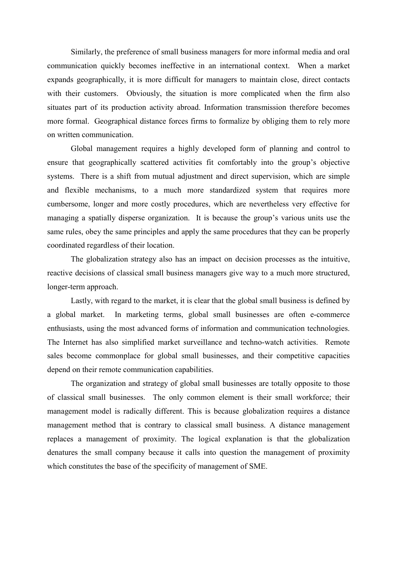Similarly, the preference of small business managers for more informal media and oral communication quickly becomes ineffective in an international context. When a market expands geographically, it is more difficult for managers to maintain close, direct contacts with their customers. Obviously, the situation is more complicated when the firm also situates part of its production activity abroad. Information transmission therefore becomes more formal. Geographical distance forces firms to formalize by obliging them to rely more on written communication.

Global management requires a highly developed form of planning and control to ensure that geographically scattered activities fit comfortably into the group's objective systems. There is a shift from mutual adjustment and direct supervision, which are simple and flexible mechanisms, to a much more standardized system that requires more cumbersome, longer and more costly procedures, which are nevertheless very effective for managing a spatially disperse organization. It is because the group's various units use the same rules, obey the same principles and apply the same procedures that they can be properly coordinated regardless of their location.

The globalization strategy also has an impact on decision processes as the intuitive, reactive decisions of classical small business managers give way to a much more structured, longer-term approach.

Lastly, with regard to the market, it is clear that the global small business is defined by a global market. In marketing terms, global small businesses are often e-commerce enthusiasts, using the most advanced forms of information and communication technologies. The Internet has also simplified market surveillance and techno-watch activities. Remote sales become commonplace for global small businesses, and their competitive capacities depend on their remote communication capabilities.

The organization and strategy of global small businesses are totally opposite to those of classical small businesses. The only common element is their small workforce; their management model is radically different. This is because globalization requires a distance management method that is contrary to classical small business. A distance management replaces a management of proximity. The logical explanation is that the globalization denatures the small company because it calls into question the management of proximity which constitutes the base of the specificity of management of SME.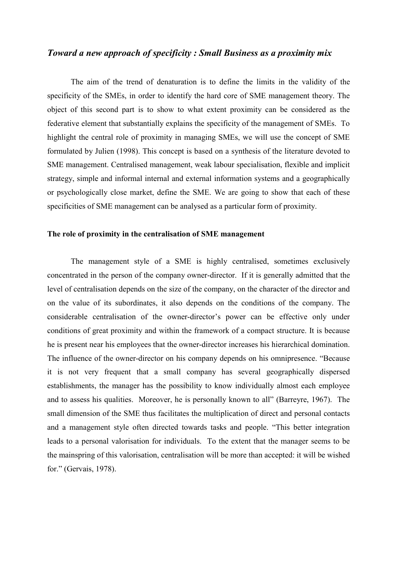# Toward a new approach of specificity: Small Business as a proximity mix

The aim of the trend of denaturation is to define the limits in the validity of the specificity of the SMEs, in order to identify the hard core of SME management theory. The object of this second part is to show to what extent proximity can be considered as the federative element that substantially explains the specificity of the management of SMEs. To highlight the central role of proximity in managing SMEs, we will use the concept of SME formulated by Julien (1998). This concept is based on a synthesis of the literature devoted to SME management. Centralised management, weak labour specialisation, flexible and implicit strategy, simple and informal internal and external information systems and a geographically or psychologically close market, define the SME. We are going to show that each of these specificities of SME management can be analysed as a particular form of proximity.

#### The role of proximity in the centralisation of SME management

The management style of a SME is highly centralised, sometimes exclusively concentrated in the person of the company owner-director. If it is generally admitted that the level of centralisation depends on the size of the company, on the character of the director and on the value of its subordinates, it also depends on the conditions of the company. The considerable centralisation of the owner-director's power can be effective only under conditions of great proximity and within the framework of a compact structure. It is because he is present near his employees that the owner-director increases his hierarchical domination. The influence of the owner-director on his company depends on his omnipresence. "Because" it is not very frequent that a small company has several geographically dispersed establishments, the manager has the possibility to know individually almost each employee and to assess his qualities. Moreover, he is personally known to all" (Barreyre, 1967). The small dimension of the SME thus facilitates the multiplication of direct and personal contacts and a management style often directed towards tasks and people. "This better integration leads to a personal valorisation for individuals. To the extent that the manager seems to be the mainspring of this valorisation, centralisation will be more than accepted: it will be wished for." (Gervais, 1978).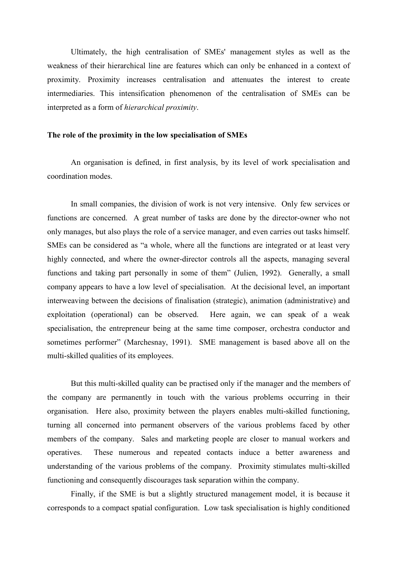Ultimately, the high centralisation of SMEs' management styles as well as the weakness of their hierarchical line are features which can only be enhanced in a context of proximity. Proximity increases centralisation and attenuates the interest to create intermediaries. This intensification phenomenon of the centralisation of SMEs can be interpreted as a form of *hierarchical proximity*.

#### The role of the proximity in the low specialisation of SMEs

An organisation is defined, in first analysis, by its level of work specialisation and coordination modes.

In small companies, the division of work is not very intensive. Only few services or functions are concerned. A great number of tasks are done by the director-owner who not only manages, but also plays the role of a service manager, and even carries out tasks himself. SMEs can be considered as "a whole, where all the functions are integrated or at least very highly connected, and where the owner-director controls all the aspects, managing several functions and taking part personally in some of them" (Julien, 1992). Generally, a small company appears to have a low level of specialisation. At the decisional level, an important interweaving between the decisions of finalisation (strategic), animation (administrative) and exploitation (operational) can be observed. Here again, we can speak of a weak specialisation, the entrepreneur being at the same time composer, orchestra conductor and sometimes performer" (Marchesnay, 1991). SME management is based above all on the multi-skilled qualities of its employees.

But this multi-skilled quality can be practised only if the manager and the members of the company are permanently in touch with the various problems occurring in their organisation. Here also, proximity between the players enables multi-skilled functioning, turning all concerned into permanent observers of the various problems faced by other members of the company. Sales and marketing people are closer to manual workers and These numerous and repeated contacts induce a better awareness and operatives. understanding of the various problems of the company. Proximity stimulates multi-skilled functioning and consequently discourages task separation within the company.

Finally, if the SME is but a slightly structured management model, it is because it corresponds to a compact spatial configuration. Low task specialisation is highly conditioned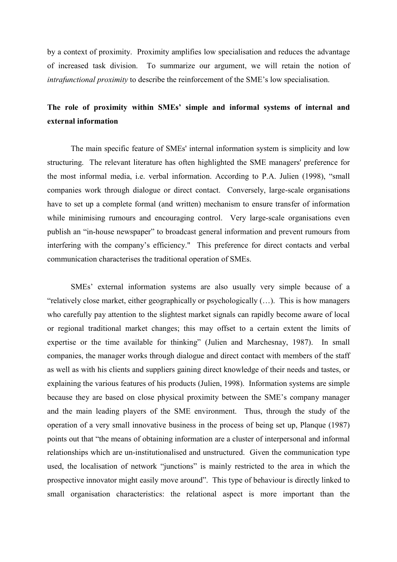by a context of proximity. Proximity amplifies low specialisation and reduces the advantage of increased task division. To summarize our argument, we will retain the notion of *intrafunctional proximity* to describe the reinforcement of the SME's low specialisation.

# The role of proximity within SMEs' simple and informal systems of internal and external information

The main specific feature of SMEs' internal information system is simplicity and low structuring. The relevant literature has often highlighted the SME managers' preference for the most informal media, i.e. verbal information. According to P.A. Julien (1998), "small companies work through dialogue or direct contact. Conversely, large-scale organisations have to set up a complete formal (and written) mechanism to ensure transfer of information while minimising rumours and encouraging control. Very large-scale organisations even publish an "in-house newspaper" to broadcast general information and prevent rumours from interfering with the company's efficiency." This preference for direct contacts and verbal communication characterises the traditional operation of SMEs.

SMEs' external information systems are also usually very simple because of a "relatively close market, either geographically or psychologically  $(\ldots)$ . This is how managers who carefully pay attention to the slightest market signals can rapidly become aware of local or regional traditional market changes; this may offset to a certain extent the limits of expertise or the time available for thinking" (Julien and Marchesnay, 1987). In small companies, the manager works through dialogue and direct contact with members of the staff as well as with his clients and suppliers gaining direct knowledge of their needs and tastes, or explaining the various features of his products (Julien, 1998). Information systems are simple because they are based on close physical proximity between the SME's company manager and the main leading players of the SME environment. Thus, through the study of the operation of a very small innovative business in the process of being set up, Planque (1987) points out that "the means of obtaining information are a cluster of interpersonal and informal relationships which are un-institutionalised and unstructured. Given the communication type used, the localisation of network "junctions" is mainly restricted to the area in which the prospective innovator might easily move around". This type of behaviour is directly linked to small organisation characteristics: the relational aspect is more important than the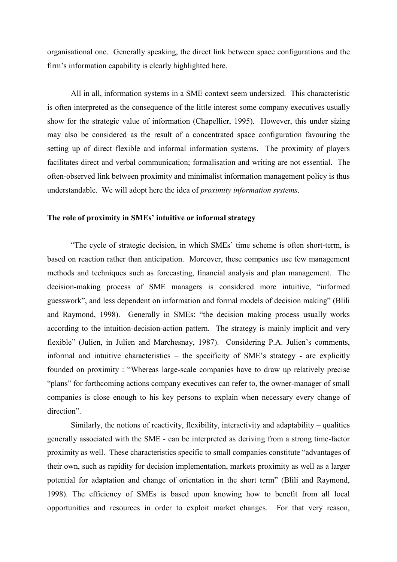organisational one. Generally speaking, the direct link between space configurations and the firm's information capability is clearly highlighted here.

All in all, information systems in a SME context seem undersized. This characteristic is often interpreted as the consequence of the little interest some company executives usually show for the strategic value of information (Chapellier, 1995). However, this under sizing may also be considered as the result of a concentrated space configuration favouring the setting up of direct flexible and informal information systems. The proximity of players facilitates direct and verbal communication; formalisation and writing are not essential. The often-observed link between proximity and minimalist information management policy is thus understandable. We will adopt here the idea of proximity information systems.

#### The role of proximity in SMEs' intuitive or informal strategy

"The cycle of strategic decision, in which SMEs' time scheme is often short-term, is based on reaction rather than anticipation. Moreover, these companies use few management methods and techniques such as forecasting, financial analysis and plan management. The decision-making process of SME managers is considered more intuitive, "informed guesswork", and less dependent on information and formal models of decision making" (Blili and Raymond, 1998). Generally in SMEs: "the decision making process usually works according to the intuition-decision-action pattern. The strategy is mainly implicit and very flexible" (Julien, in Julien and Marchesnay, 1987). Considering P.A. Julien's comments, informal and intuitive characteristics – the specificity of SME's strategy - are explicitly founded on proximity: "Whereas large-scale companies have to draw up relatively precise "plans" for forthcoming actions company executives can refer to, the owner-manager of small companies is close enough to his key persons to explain when necessary every change of direction".

Similarly, the notions of reactivity, flexibility, interactivity and adaptability – qualities generally associated with the SME - can be interpreted as deriving from a strong time-factor proximity as well. These characteristics specific to small companies constitute "advantages of their own, such as rapidity for decision implementation, markets proximity as well as a larger potential for adaptation and change of orientation in the short term" (Blili and Raymond, 1998). The efficiency of SMEs is based upon knowing how to benefit from all local opportunities and resources in order to exploit market changes. For that very reason,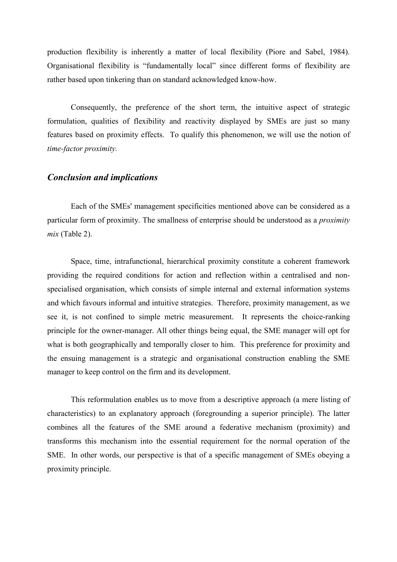production flexibility is inherently a matter of local flexibility (Piore and Sabel, 1984). Organisational flexibility is "fundamentally local" since different forms of flexibility are rather based upon tinkering than on standard acknowledged know-how.

Consequently, the preference of the short term, the intuitive aspect of strategic formulation, qualities of flexibility and reactivity displayed by SMEs are just so many features based on proximity effects. To qualify this phenomenon, we will use the notion of time-factor proximity.

# **Conclusion and implications**

Each of the SMEs' management specificities mentioned above can be considered as a particular form of proximity. The smallness of enterprise should be understood as a *proximity*  $mix$  (Table 2).

Space, time, intrafunctional, hierarchical proximity constitute a coherent framework providing the required conditions for action and reflection within a centralised and nonspecialised organisation, which consists of simple internal and external information systems and which favours informal and intuitive strategies. Therefore, proximity management, as we see it, is not confined to simple metric measurement. It represents the choice-ranking principle for the owner-manager. All other things being equal, the SME manager will opt for what is both geographically and temporally closer to him. This preference for proximity and the ensuing management is a strategic and organisational construction enabling the SME manager to keep control on the firm and its development.

This reformulation enables us to move from a descriptive approach (a mere listing of characteristics) to an explanatory approach (foregrounding a superior principle). The latter combines all the features of the SME around a federative mechanism (proximity) and transforms this mechanism into the essential requirement for the normal operation of the SME. In other words, our perspective is that of a specific management of SMEs obeying a proximity principle.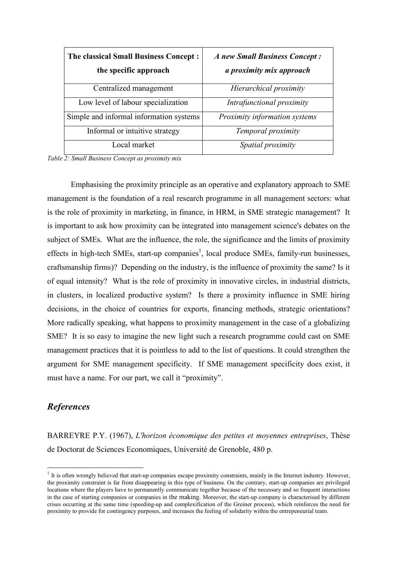| <b>The classical Small Business Concept:</b><br>the specific approach | A new Small Business Concept:<br>a proximity mix approach |
|-----------------------------------------------------------------------|-----------------------------------------------------------|
| Centralized management                                                | Hierarchical proximity                                    |
| Low level of labour specialization                                    | Intrafunctional proximity                                 |
| Simple and informal information systems                               | Proximity information systems                             |
| Informal or intuitive strategy                                        | Temporal proximity                                        |
| Local market                                                          | Spatial proximity                                         |

Table 2: Small Business Concept as proximity mix

Emphasising the proximity principle as an operative and explanatory approach to SME management is the foundation of a real research programme in all management sectors: what is the role of proximity in marketing, in finance, in HRM, in SME strategic management? It is important to ask how proximity can be integrated into management science's debates on the subject of SMEs. What are the influence, the role, the significance and the limits of proximity effects in high-tech SMEs, start-up companies<sup>1</sup>, local produce SMEs, family-run businesses, craftsmanship firms)? Depending on the industry, is the influence of proximity the same? Is it of equal intensity? What is the role of proximity in innovative circles, in industrial districts, in clusters, in localized productive system? Is there a proximity influence in SME hiring decisions, in the choice of countries for exports, financing methods, strategic orientations? More radically speaking, what happens to proximity management in the case of a globalizing SME? It is so easy to imagine the new light such a research programme could cast on SME management practices that it is pointless to add to the list of questions. It could strengthen the argument for SME management specificity. If SME management specificity does exist, it must have a name. For our part, we call it "proximity".

# **References**

BARREYRE P.Y. (1967), L'horizon économique des petites et moyennes entreprises. Thèse de Doctorat de Sciences Economiques, Université de Grenoble, 480 p.

 $1$  It is often wrongly believed that start-up companies escape proximity constraints, mainly in the Internet industry. However, the proximity constraint is far from disappearing in this type of business. On the contrary, start-up companies are privileged locations where the players have to permanently communicate together because of the necessary and so frequent interactions in the case of starting companies or companies in the making. Moreover, the start-up company is characterised by different crises occurring at the same time (speeding-up and complexification of the Greiner process), which reinforces the need for proximity to provide for contingency purposes, and increases the feeling of solidarity within the entrepeneurial team.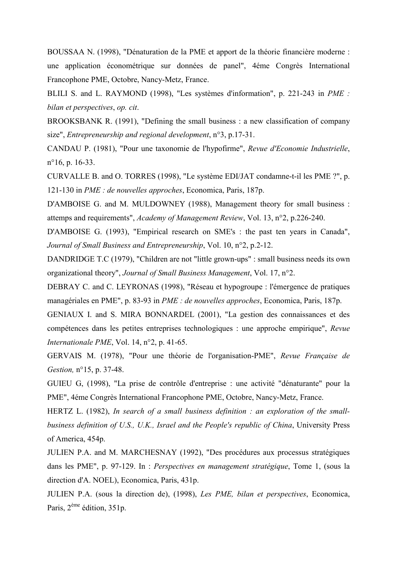BOUSSAA N. (1998), "Dénaturation de la PME et apport de la théorie financière moderne : une application économétrique sur données de panel", 4éme Congrès International Francophone PME, Octobre, Nancy-Metz, France.

BLILI S. and L. RAYMOND (1998), "Les systèmes d'information", p. 221-243 in PME : bilan et perspectives, op. cit.

BROOKSBANK R. (1991). "Defining the small business: a new classification of company size", Entrepreneurship and regional development,  $n^{\circ}3$ , p.17-31.

CANDAU P. (1981), "Pour une taxonomie de l'hypofirme", Revue d'Economie Industrielle,  $n^{\circ}16$ , p. 16-33.

CURVALLE B. and O. TORRES (1998), "Le système EDI/JAT condamne-t-il les PME ?", p. 121-130 in *PME : de nouvelles approches*, Economica, Paris, 187p.

D'AMBOISE G. and M. MULDOWNEY (1988), Management theory for small business: attemps and requirements", Academy of Management Review, Vol. 13, n°2, p.226-240.

D'AMBOISE G. (1993), "Empirical research on SME's : the past ten years in Canada", Journal of Small Business and Entrepreneurship, Vol. 10, n°2, p.2-12.

DANDRIDGE T.C (1979), "Children are not "little grown-ups" : small business needs its own organizational theory", Journal of Small Business Management, Vol. 17, n°2.

DEBRAY C. and C. LEYRONAS (1998), "Réseau et hypogroupe : l'émergence de pratiques managériales en PME", p. 83-93 in *PME : de nouvelles approches*, Economica, Paris, 187p.

GENIAUX I. and S. MIRA BONNARDEL (2001), "La gestion des connaissances et des compétences dans les petites entreprises technologiques : une approche empirique", Revue Internationale PME, Vol. 14,  $n^{\circ}2$ , p. 41-65.

GERVAIS M. (1978), "Pour une théorie de l'organisation-PME", Revue Française de Gestion, n°15, p. 37-48.

GUIEU G, (1998), "La prise de contrôle d'entreprise : une activité "dénaturante" pour la PME", 4éme Congrès International Francophone PME, Octobre, Nancy-Metz, France.

HERTZ L. (1982), In search of a small business definition : an exploration of the smallbusiness definition of U.S., U.K., Israel and the People's republic of China, University Press of America, 454p.

JULIEN P.A. and M. MARCHESNAY (1992), "Des procédures aux processus stratégiques dans les PME", p. 97-129. In : *Perspectives en management stratégique*, Tome 1, (sous la direction d'A. NOEL), Economica, Paris, 431p.

JULIEN P.A. (sous la direction de), (1998), Les PME, bilan et perspectives, Economica, Paris,  $2^{eme}$  édition,  $351p$ .